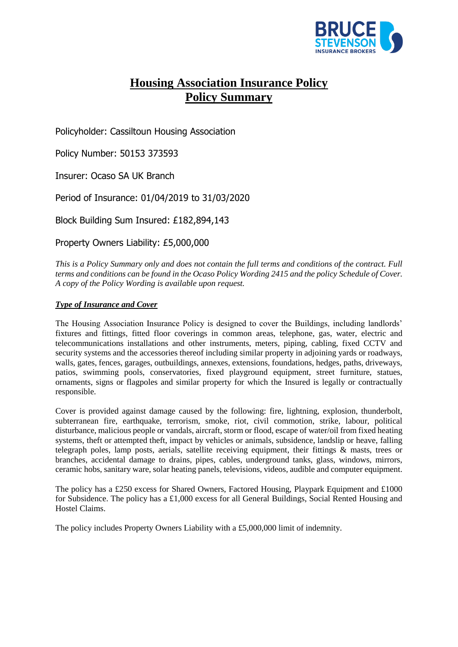

# **Housing Association Insurance Policy Policy Summary**

Policyholder: Cassiltoun Housing Association

Policy Number: 50153 373593

Insurer: Ocaso SA UK Branch

Period of Insurance: 01/04/2019 to 31/03/2020

Block Building Sum Insured: £182,894,143

Property Owners Liability: £5,000,000

*This is a Policy Summary only and does not contain the full terms and conditions of the contract. Full terms and conditions can be found in the Ocaso Policy Wording 2415 and the policy Schedule of Cover. A copy of the Policy Wording is available upon request.*

## *Type of Insurance and Cover*

The Housing Association Insurance Policy is designed to cover the Buildings, including landlords' fixtures and fittings, fitted floor coverings in common areas, telephone, gas, water, electric and telecommunications installations and other instruments, meters, piping, cabling, fixed CCTV and security systems and the accessories thereof including similar property in adjoining yards or roadways, walls, gates, fences, garages, outbuildings, annexes, extensions, foundations, hedges, paths, driveways, patios, swimming pools, conservatories, fixed playground equipment, street furniture, statues, ornaments, signs or flagpoles and similar property for which the Insured is legally or contractually responsible.

Cover is provided against damage caused by the following: fire, lightning, explosion, thunderbolt, subterranean fire, earthquake, terrorism, smoke, riot, civil commotion, strike, labour, political disturbance, malicious people or vandals, aircraft, storm or flood, escape of water/oil from fixed heating systems, theft or attempted theft, impact by vehicles or animals, subsidence, landslip or heave, falling telegraph poles, lamp posts, aerials, satellite receiving equipment, their fittings & masts, trees or branches, accidental damage to drains, pipes, cables, underground tanks, glass, windows, mirrors, ceramic hobs, sanitary ware, solar heating panels, televisions, videos, audible and computer equipment.

The policy has a £250 excess for Shared Owners, Factored Housing, Playpark Equipment and £1000 for Subsidence. The policy has a £1,000 excess for all General Buildings, Social Rented Housing and Hostel Claims.

The policy includes Property Owners Liability with a £5,000,000 limit of indemnity.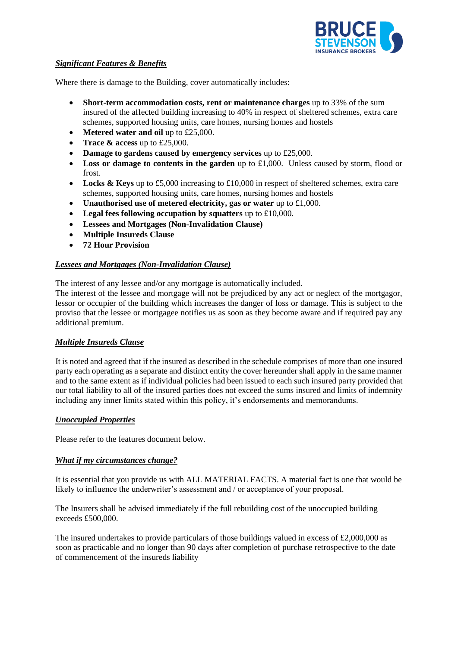

#### *Significant Features & Benefits*

Where there is damage to the Building, cover automatically includes:

- **Short-term accommodation costs, rent or maintenance charges** up to 33% of the sum insured of the affected building increasing to 40% in respect of sheltered schemes, extra care schemes, supported housing units, care homes, nursing homes and hostels
- **Metered water and oil** up to £25,000.
- **Trace & access** up to £25,000.
- **Damage to gardens caused by emergency services** up to £25,000.
- **Loss or damage to contents in the garden** up to £1,000. Unless caused by storm, flood or frost.
- **Locks & Keys** up to £5,000 increasing to £10,000 in respect of sheltered schemes, extra care schemes, supported housing units, care homes, nursing homes and hostels
- **Unauthorised use of metered electricity, gas or water** up to £1,000.
- **Legal fees following occupation by squatters** up to £10,000.
- **Lessees and Mortgages (Non-Invalidation Clause)**
- **Multiple Insureds Clause**
- **72 Hour Provision**

## *Lessees and Mortgages (Non-Invalidation Clause)*

The interest of any lessee and/or any mortgage is automatically included.

The interest of the lessee and mortgage will not be prejudiced by any act or neglect of the mortgagor, lessor or occupier of the building which increases the danger of loss or damage. This is subject to the proviso that the lessee or mortgagee notifies us as soon as they become aware and if required pay any additional premium.

## *Multiple Insureds Clause*

It is noted and agreed that if the insured as described in the schedule comprises of more than one insured party each operating as a separate and distinct entity the cover hereunder shall apply in the same manner and to the same extent as if individual policies had been issued to each such insured party provided that our total liability to all of the insured parties does not exceed the sums insured and limits of indemnity including any inner limits stated within this policy, it's endorsements and memorandums.

## *Unoccupied Properties*

Please refer to the features document below.

## *What if my circumstances change?*

It is essential that you provide us with ALL MATERIAL FACTS. A material fact is one that would be likely to influence the underwriter's assessment and / or acceptance of your proposal.

The Insurers shall be advised immediately if the full rebuilding cost of the unoccupied building exceeds £500,000.

The insured undertakes to provide particulars of those buildings valued in excess of £2,000,000 as soon as practicable and no longer than 90 days after completion of purchase retrospective to the date of commencement of the insureds liability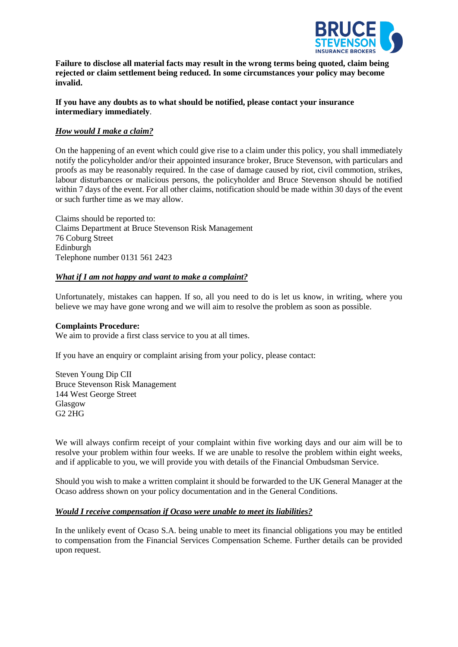

**Failure to disclose all material facts may result in the wrong terms being quoted, claim being rejected or claim settlement being reduced. In some circumstances your policy may become invalid.**

#### **If you have any doubts as to what should be notified, please contact your insurance intermediary immediately**.

#### *How would I make a claim?*

On the happening of an event which could give rise to a claim under this policy, you shall immediately notify the policyholder and/or their appointed insurance broker, Bruce Stevenson, with particulars and proofs as may be reasonably required. In the case of damage caused by riot, civil commotion, strikes, labour disturbances or malicious persons, the policyholder and Bruce Stevenson should be notified within 7 days of the event. For all other claims, notification should be made within 30 days of the event or such further time as we may allow.

Claims should be reported to: Claims Department at Bruce Stevenson Risk Management 76 Coburg Street Edinburgh Telephone number 0131 561 2423

#### *What if I am not happy and want to make a complaint?*

Unfortunately, mistakes can happen. If so, all you need to do is let us know, in writing, where you believe we may have gone wrong and we will aim to resolve the problem as soon as possible.

#### **Complaints Procedure:**

We aim to provide a first class service to you at all times.

If you have an enquiry or complaint arising from your policy, please contact:

Steven Young Dip CII Bruce Stevenson Risk Management 144 West George Street Glasgow G2 2HG

We will always confirm receipt of your complaint within five working days and our aim will be to resolve your problem within four weeks. If we are unable to resolve the problem within eight weeks, and if applicable to you, we will provide you with details of the Financial Ombudsman Service.

Should you wish to make a written complaint it should be forwarded to the UK General Manager at the Ocaso address shown on your policy documentation and in the General Conditions.

#### *Would I receive compensation if Ocaso were unable to meet its liabilities?*

In the unlikely event of Ocaso S.A. being unable to meet its financial obligations you may be entitled to compensation from the Financial Services Compensation Scheme. Further details can be provided upon request.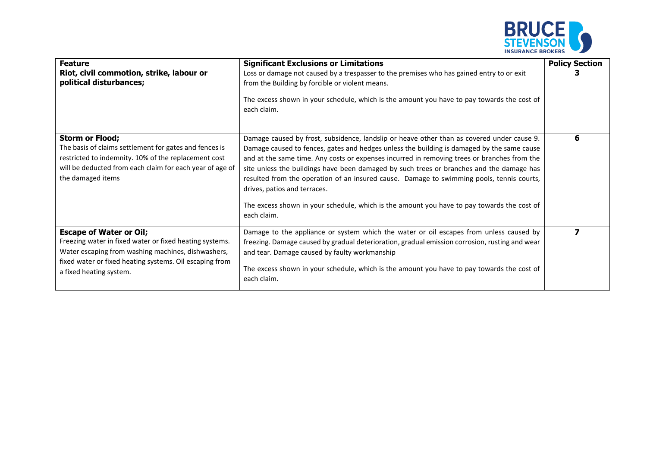

| <b>Feature</b>                                                                                                                                                                                                                        | <b>Significant Exclusions or Limitations</b>                                                                                                                                                                                                                                                                                                                                                                                                                                                                                                                                                                                  | <b>Policy Section</b> |
|---------------------------------------------------------------------------------------------------------------------------------------------------------------------------------------------------------------------------------------|-------------------------------------------------------------------------------------------------------------------------------------------------------------------------------------------------------------------------------------------------------------------------------------------------------------------------------------------------------------------------------------------------------------------------------------------------------------------------------------------------------------------------------------------------------------------------------------------------------------------------------|-----------------------|
| Riot, civil commotion, strike, labour or<br>political disturbances;                                                                                                                                                                   | Loss or damage not caused by a trespasser to the premises who has gained entry to or exit<br>from the Building by forcible or violent means.<br>The excess shown in your schedule, which is the amount you have to pay towards the cost of<br>each claim.                                                                                                                                                                                                                                                                                                                                                                     |                       |
| <b>Storm or Flood;</b><br>The basis of claims settlement for gates and fences is<br>restricted to indemnity. 10% of the replacement cost<br>will be deducted from each claim for each year of age of<br>the damaged items             | Damage caused by frost, subsidence, landslip or heave other than as covered under cause 9.<br>Damage caused to fences, gates and hedges unless the building is damaged by the same cause<br>and at the same time. Any costs or expenses incurred in removing trees or branches from the<br>site unless the buildings have been damaged by such trees or branches and the damage has<br>resulted from the operation of an insured cause. Damage to swimming pools, tennis courts,<br>drives, patios and terraces.<br>The excess shown in your schedule, which is the amount you have to pay towards the cost of<br>each claim. | 6                     |
| <b>Escape of Water or Oil;</b><br>Freezing water in fixed water or fixed heating systems.<br>Water escaping from washing machines, dishwashers,<br>fixed water or fixed heating systems. Oil escaping from<br>a fixed heating system. | Damage to the appliance or system which the water or oil escapes from unless caused by<br>freezing. Damage caused by gradual deterioration, gradual emission corrosion, rusting and wear<br>and tear. Damage caused by faulty workmanship<br>The excess shown in your schedule, which is the amount you have to pay towards the cost of<br>each claim.                                                                                                                                                                                                                                                                        |                       |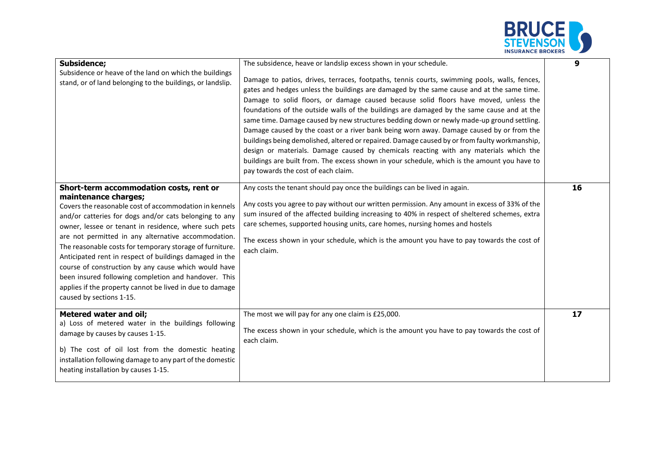

| <b>Subsidence;</b><br>Subsidence or heave of the land on which the buildings<br>stand, or of land belonging to the buildings, or landslip.                                                                                                                                                                                                                                                                                                                                                                                                                                                                                         | The subsidence, heave or landslip excess shown in your schedule.<br>Damage to patios, drives, terraces, footpaths, tennis courts, swimming pools, walls, fences,<br>gates and hedges unless the buildings are damaged by the same cause and at the same time.<br>Damage to solid floors, or damage caused because solid floors have moved, unless the<br>foundations of the outside walls of the buildings are damaged by the same cause and at the<br>same time. Damage caused by new structures bedding down or newly made-up ground settling.<br>Damage caused by the coast or a river bank being worn away. Damage caused by or from the<br>buildings being demolished, altered or repaired. Damage caused by or from faulty workmanship,<br>design or materials. Damage caused by chemicals reacting with any materials which the<br>buildings are built from. The excess shown in your schedule, which is the amount you have to<br>pay towards the cost of each claim. | 9  |
|------------------------------------------------------------------------------------------------------------------------------------------------------------------------------------------------------------------------------------------------------------------------------------------------------------------------------------------------------------------------------------------------------------------------------------------------------------------------------------------------------------------------------------------------------------------------------------------------------------------------------------|-------------------------------------------------------------------------------------------------------------------------------------------------------------------------------------------------------------------------------------------------------------------------------------------------------------------------------------------------------------------------------------------------------------------------------------------------------------------------------------------------------------------------------------------------------------------------------------------------------------------------------------------------------------------------------------------------------------------------------------------------------------------------------------------------------------------------------------------------------------------------------------------------------------------------------------------------------------------------------|----|
| Short-term accommodation costs, rent or<br>maintenance charges;<br>Covers the reasonable cost of accommodation in kennels<br>and/or catteries for dogs and/or cats belonging to any<br>owner, lessee or tenant in residence, where such pets<br>are not permitted in any alternative accommodation.<br>The reasonable costs for temporary storage of furniture.<br>Anticipated rent in respect of buildings damaged in the<br>course of construction by any cause which would have<br>been insured following completion and handover. This<br>applies if the property cannot be lived in due to damage<br>caused by sections 1-15. | Any costs the tenant should pay once the buildings can be lived in again.<br>Any costs you agree to pay without our written permission. Any amount in excess of 33% of the<br>sum insured of the affected building increasing to 40% in respect of sheltered schemes, extra<br>care schemes, supported housing units, care homes, nursing homes and hostels<br>The excess shown in your schedule, which is the amount you have to pay towards the cost of<br>each claim.                                                                                                                                                                                                                                                                                                                                                                                                                                                                                                      | 16 |
| <b>Metered water and oil;</b><br>a) Loss of metered water in the buildings following<br>damage by causes by causes 1-15.<br>b) The cost of oil lost from the domestic heating<br>installation following damage to any part of the domestic<br>heating installation by causes 1-15.                                                                                                                                                                                                                                                                                                                                                 | The most we will pay for any one claim is £25,000.<br>The excess shown in your schedule, which is the amount you have to pay towards the cost of<br>each claim.                                                                                                                                                                                                                                                                                                                                                                                                                                                                                                                                                                                                                                                                                                                                                                                                               | 17 |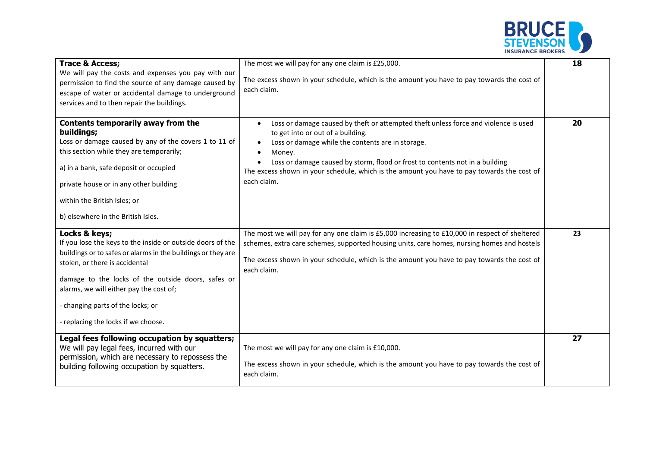

| <b>Trace &amp; Access;</b><br>We will pay the costs and expenses you pay with our<br>permission to find the source of any damage caused by<br>escape of water or accidental damage to underground<br>services and to then repair the buildings.                                                                                                            | The most we will pay for any one claim is £25,000.<br>The excess shown in your schedule, which is the amount you have to pay towards the cost of<br>each claim.                                                                                                                                                                                                                                                                          | 18 |
|------------------------------------------------------------------------------------------------------------------------------------------------------------------------------------------------------------------------------------------------------------------------------------------------------------------------------------------------------------|------------------------------------------------------------------------------------------------------------------------------------------------------------------------------------------------------------------------------------------------------------------------------------------------------------------------------------------------------------------------------------------------------------------------------------------|----|
| Contents temporarily away from the<br>buildings;<br>Loss or damage caused by any of the covers 1 to 11 of<br>this section while they are temporarily;<br>a) in a bank, safe deposit or occupied<br>private house or in any other building<br>within the British Isles; or<br>b) elsewhere in the British Isles.                                            | Loss or damage caused by theft or attempted theft unless force and violence is used<br>$\bullet$<br>to get into or out of a building.<br>Loss or damage while the contents are in storage.<br>$\bullet$<br>Money.<br>$\bullet$<br>Loss or damage caused by storm, flood or frost to contents not in a building<br>$\bullet$<br>The excess shown in your schedule, which is the amount you have to pay towards the cost of<br>each claim. | 20 |
| Locks & keys;<br>If you lose the keys to the inside or outside doors of the<br>buildings or to safes or alarms in the buildings or they are<br>stolen, or there is accidental<br>damage to the locks of the outside doors, safes or<br>alarms, we will either pay the cost of;<br>- changing parts of the locks; or<br>- replacing the locks if we choose. | The most we will pay for any one claim is £5,000 increasing to £10,000 in respect of sheltered<br>schemes, extra care schemes, supported housing units, care homes, nursing homes and hostels<br>The excess shown in your schedule, which is the amount you have to pay towards the cost of<br>each claim.                                                                                                                               | 23 |
| Legal fees following occupation by squatters;<br>We will pay legal fees, incurred with our<br>permission, which are necessary to repossess the<br>building following occupation by squatters.                                                                                                                                                              | The most we will pay for any one claim is £10,000.<br>The excess shown in your schedule, which is the amount you have to pay towards the cost of<br>each claim.                                                                                                                                                                                                                                                                          | 27 |